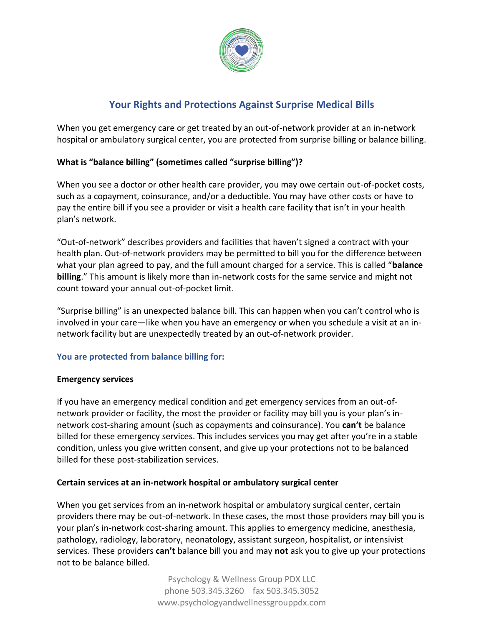

# **Your Rights and Protections Against Surprise Medical Bills**

When you get emergency care or get treated by an out-of-network provider at an in-network hospital or ambulatory surgical center, you are protected from surprise billing or balance billing.

## **What is "balance billing" (sometimes called "surprise billing")?**

When you see a doctor or other health care provider, you may owe certain out-of-pocket costs, such as a copayment, coinsurance, and/or a deductible. You may have other costs or have to pay the entire bill if you see a provider or visit a health care facility that isn't in your health plan's network.

"Out-of-network" describes providers and facilities that haven't signed a contract with your health plan. Out-of-network providers may be permitted to bill you for the difference between what your plan agreed to pay, and the full amount charged for a service. This is called "**balance billing**." This amount is likely more than in-network costs for the same service and might not count toward your annual out-of-pocket limit.

"Surprise billing" is an unexpected balance bill. This can happen when you can't control who is involved in your care—like when you have an emergency or when you schedule a visit at an innetwork facility but are unexpectedly treated by an out-of-network provider.

### **You are protected from balance billing for:**

### **Emergency services**

If you have an emergency medical condition and get emergency services from an out-ofnetwork provider or facility, the most the provider or facility may bill you is your plan's innetwork cost-sharing amount (such as copayments and coinsurance). You **can't** be balance billed for these emergency services. This includes services you may get after you're in a stable condition, unless you give written consent, and give up your protections not to be balanced billed for these post-stabilization services.

### **Certain services at an in-network hospital or ambulatory surgical center**

When you get services from an in-network hospital or ambulatory surgical center, certain providers there may be out-of-network. In these cases, the most those providers may bill you is your plan's in-network cost-sharing amount. This applies to emergency medicine, anesthesia, pathology, radiology, laboratory, neonatology, assistant surgeon, hospitalist, or intensivist services. These providers **can't** balance bill you and may **not** ask you to give up your protections not to be balance billed.

> Psychology & Wellness Group PDX LLC phone 503.345.3260 fax 503.345.3052 www.psychologyandwellnessgrouppdx.com